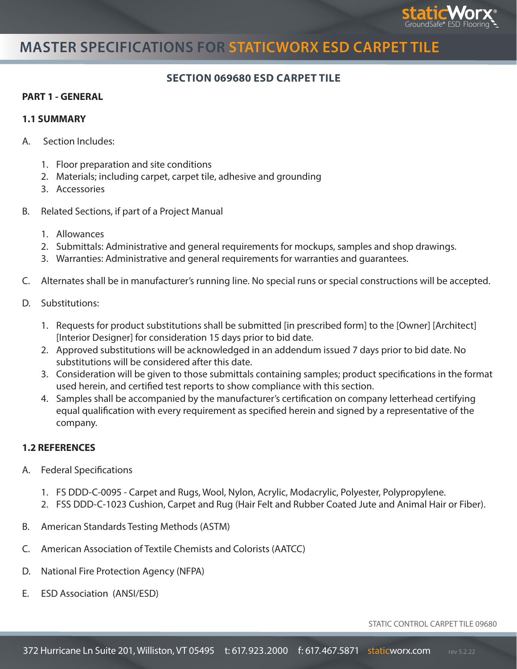

# **MASTER SPECIFICATIONS FOR STATICWORX ESD CARPET TILE**

### **SECTION 069680 ESD CARPET TILE**

#### **PART 1 - GENERAL**

#### **1.1 SUMMARY**

- A. Section Includes:
	- 1. Floor preparation and site conditions
	- 2. Materials; including carpet, carpet tile, adhesive and grounding
	- 3. Accessories
- B. Related Sections, if part of a Project Manual
	- 1. Allowances
	- 2. Submittals: Administrative and general requirements for mockups, samples and shop drawings.
	- 3. Warranties: Administrative and general requirements for warranties and guarantees.
- C. Alternates shall be in manufacturer's running line. No special runs or special constructions will be accepted.
- D. Substitutions:
	- 1. Requests for product substitutions shall be submitted [in prescribed form] to the [Owner] [Architect] [Interior Designer] for consideration 15 days prior to bid date.
	- 2. Approved substitutions will be acknowledged in an addendum issued 7 days prior to bid date. No substitutions will be considered after this date.
	- 3. Consideration will be given to those submittals containing samples; product specifications in the format used herein, and certified test reports to show compliance with this section.
	- 4. Samples shall be accompanied by the manufacturer's certification on company letterhead certifying equal qualification with every requirement as specified herein and signed by a representative of the company.

### **1.2 REFERENCES**

- A. Federal Specifications
	- 1. FS DDD-C-0095 Carpet and Rugs, Wool, Nylon, Acrylic, Modacrylic, Polyester, Polypropylene.
	- 2. FSS DDD-C-1023 Cushion, Carpet and Rug (Hair Felt and Rubber Coated Jute and Animal Hair or Fiber).
- B. American Standards Testing Methods (ASTM)
- C. American Association of Textile Chemists and Colorists (AATCC)
- D. National Fire Protection Agency (NFPA)
- E. ESD Association (ANSI/ESD)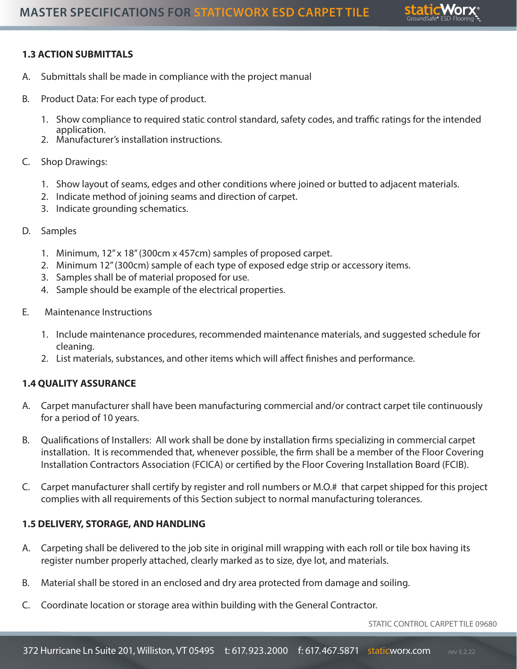

## **1.3 ACTION SUBMITTALS**

- A. Submittals shall be made in compliance with the project manual
- B. Product Data: For each type of product.
	- 1. Show compliance to required static control standard, safety codes, and traffic ratings for the intended application.
	- 2. Manufacturer's installation instructions.
- C. Shop Drawings:
	- 1. Show layout of seams, edges and other conditions where joined or butted to adjacent materials.
	- 2. Indicate method of joining seams and direction of carpet.
	- 3. Indicate grounding schematics.
- D. Samples
	- 1. Minimum, 12" x 18" (300cm x 457cm) samples of proposed carpet.
	- 2. Minimum 12" (300cm) sample of each type of exposed edge strip or accessory items.
	- 3. Samples shall be of material proposed for use.
	- 4. Sample should be example of the electrical properties.
- E. Maintenance Instructions
	- 1. Include maintenance procedures, recommended maintenance materials, and suggested schedule for cleaning.
	- 2. List materials, substances, and other items which will affect finishes and performance.

### **1.4 QUALITY ASSURANCE**

- A. Carpet manufacturer shall have been manufacturing commercial and/or contract carpet tile continuously for a period of 10 years.
- B. Qualifications of Installers: All work shall be done by installation firms specializing in commercial carpet installation. It is recommended that, whenever possible, the firm shall be a member of the Floor Covering Installation Contractors Association (FCICA) or certified by the Floor Covering Installation Board (FCIB).
- C. Carpet manufacturer shall certify by register and roll numbers or M.O.# that carpet shipped for this project complies with all requirements of this Section subject to normal manufacturing tolerances.

### **1.5 DELIVERY, STORAGE, AND HANDLING**

- A. Carpeting shall be delivered to the job site in original mill wrapping with each roll or tile box having its register number properly attached, clearly marked as to size, dye lot, and materials.
- B. Material shall be stored in an enclosed and dry area protected from damage and soiling.
- C. Coordinate location or storage area within building with the General Contractor.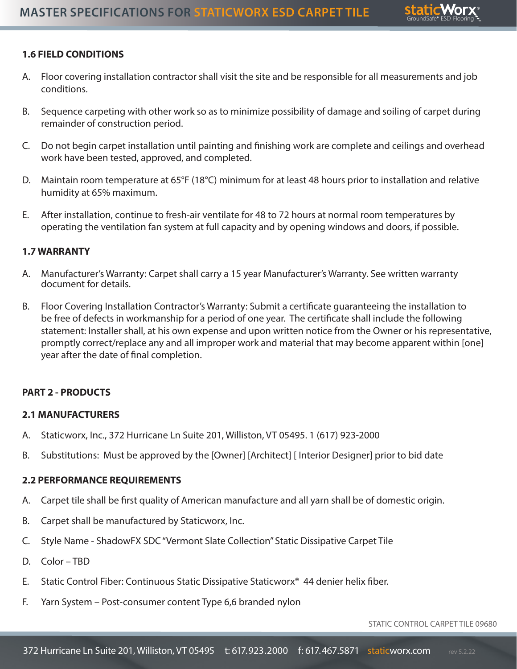

## **1.6 FIELD CONDITIONS**

- A. Floor covering installation contractor shall visit the site and be responsible for all measurements and job conditions.
- B. Sequence carpeting with other work so as to minimize possibility of damage and soiling of carpet during remainder of construction period.
- C. Do not begin carpet installation until painting and finishing work are complete and ceilings and overhead work have been tested, approved, and completed.
- D. Maintain room temperature at 65°F (18°C) minimum for at least 48 hours prior to installation and relative humidity at 65% maximum.
- E. After installation, continue to fresh-air ventilate for 48 to 72 hours at normal room temperatures by operating the ventilation fan system at full capacity and by opening windows and doors, if possible.

### **1.7 WARRANTY**

- A. Manufacturer's Warranty: Carpet shall carry a 15 year Manufacturer's Warranty. See written warranty document for details.
- B. Floor Covering Installation Contractor's Warranty: Submit a certificate guaranteeing the installation to be free of defects in workmanship for a period of one year. The certificate shall include the following statement: Installer shall, at his own expense and upon written notice from the Owner or his representative, promptly correct/replace any and all improper work and material that may become apparent within [one] year after the date of final completion.

### **PART 2 - PRODUCTS**

### **2.1 MANUFACTURERS**

- A. Staticworx, Inc., 372 Hurricane Ln Suite 201, Williston, VT 05495. 1 (617) 923-2000
- B. Substitutions: Must be approved by the [Owner] [Architect] [ Interior Designer] prior to bid date

### **2.2 PERFORMANCE REQUIREMENTS**

- A. Carpet tile shall be first quality of American manufacture and all yarn shall be of domestic origin.
- B. Carpet shall be manufactured by Staticworx, Inc.
- C. Style Name ShadowFX SDC "Vermont Slate Collection" Static Dissipative Carpet Tile
- D. Color TBD
- E. Static Control Fiber: Continuous Static Dissipative Staticworx® 44 denier helix fiber.
- F. Yarn System Post-consumer content Type 6,6 branded nylon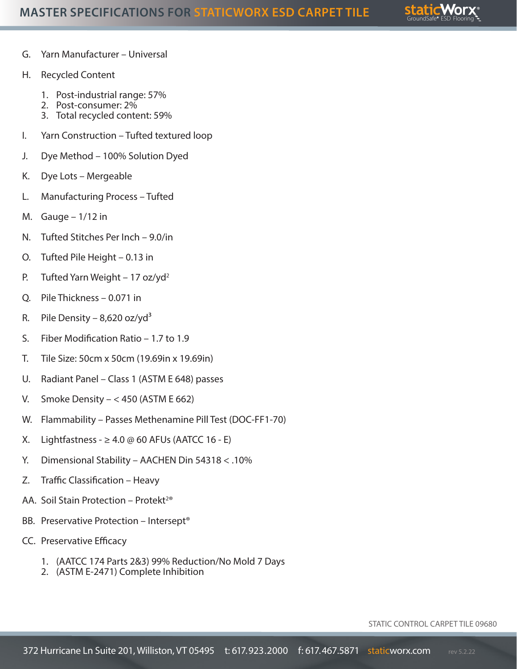

- G. Yarn Manufacturer Universal
- H. Recycled Content
	- 1. Post-industrial range: 57%
	- 2. Post-consumer: 2%
	- 3. Total recycled content: 59%
- I. Yarn Construction Tufted textured loop
- J. Dye Method 100% Solution Dyed
- K. Dye Lots Mergeable
- L. Manufacturing Process Tufted
- M. Gauge  $-1/12$  in
- N. Tufted Stitches Per Inch 9.0/in
- O. Tufted Pile Height 0.13 in
- P. Tufted Yarn Weight 17 oz/yd<sup>2</sup>
- Q. Pile Thickness 0.071 in
- R. Pile Density 8,620 oz/yd<sup>3</sup>
- S. Fiber Modification Ratio 1.7 to 1.9
- T. Tile Size: 50cm x 50cm (19.69in x 19.69in)
- U. Radiant Panel Class 1 (ASTM E 648) passes
- V. Smoke Density  $< 450$  (ASTM E 662)
- W. Flammability Passes Methenamine Pill Test (DOC-FF1-70)
- X. Lightfastness  $\geq 4.0 \oslash 60$  AFUs (AATCC 16 E)
- Y. Dimensional Stability AACHEN Din 54318 < .10%
- Z. Traffic Classification Heavy
- AA. Soil Stain Protection Protekt<sup>2®</sup>
- BB. Preservative Protection Intersept®
- CC. Preservative Efficacy
	- 1. (AATCC 174 Parts 2&3) 99% Reduction/No Mold 7 Days
	- 2. (ASTM E-2471) Complete Inhibition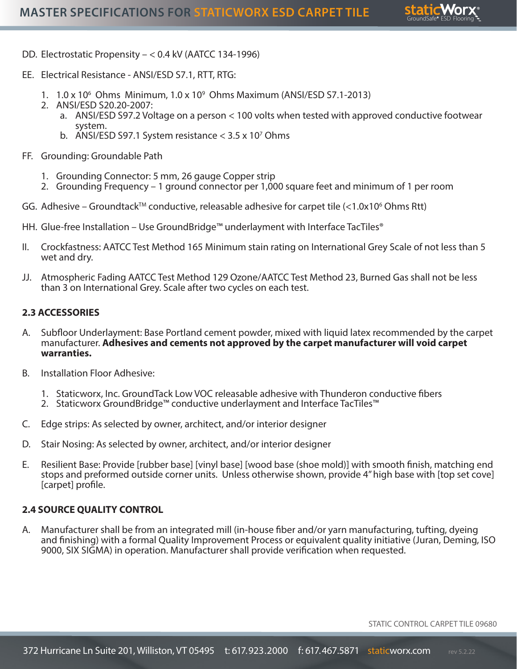

- DD. Electrostatic Propensity < 0.4 kV (AATCC 134-1996)
- EE. Electrical Resistance ANSI/ESD S7.1, RTT, RTG:
	- 1. 1.0 x 106 Ohms Minimum, 1.0 x 109 Ohms Maximum (ANSI/ESD S7.1-2013)
	- 2. ANSI/ESD S20.20-2007:
		- a. ANSI/ESD S97.2 Voltage on a person < 100 volts when tested with approved conductive footwear system.
		- b. ANSI/ESD S97.1 System resistance  $<$  3.5 x 10<sup>7</sup> Ohms
- FF. Grounding: Groundable Path
	- 1. Grounding Connector: 5 mm, 26 gauge Copper strip
	- 2. Grounding Frequency 1 ground connector per 1,000 square feet and minimum of 1 per room
- GG. Adhesive Groundtack™ conductive, releasable adhesive for carpet tile  $\left\langle \right.$ <1.0x10<sup>6</sup> Ohms Rtt)
- HH. Glue-free Installation Use GroundBridge™ underlayment with Interface TacTiles®
- II. Crockfastness: AATCC Test Method 165 Minimum stain rating on International Grey Scale of not less than 5 wet and dry.
- JJ. Atmospheric Fading AATCC Test Method 129 Ozone/AATCC Test Method 23, Burned Gas shall not be less than 3 on International Grey. Scale after two cycles on each test.

#### **2.3 ACCESSORIES**

- A. Subfloor Underlayment: Base Portland cement powder, mixed with liquid latex recommended by the carpet manufacturer. **Adhesives and cements not approved by the carpet manufacturer will void carpet warranties.**
- B. Installation Floor Adhesive:
	- 1. Staticworx, Inc. GroundTack Low VOC releasable adhesive with Thunderon conductive fibers
	- 2. Staticworx GroundBridge™ conductive underlayment and Interface TacTiles™
- C. Edge strips: As selected by owner, architect, and/or interior designer
- D. Stair Nosing: As selected by owner, architect, and/or interior designer
- E. Resilient Base: Provide [rubber base] [vinyl base] [wood base (shoe mold)] with smooth finish, matching end stops and preformed outside corner units. Unless otherwise shown, provide 4" high base with [top set cove] [carpet] profile.

#### **2.4 SOURCE QUALITY CONTROL**

A. Manufacturer shall be from an integrated mill (in-house fiber and/or yarn manufacturing, tufting, dyeing and finishing) with a formal Quality Improvement Process or equivalent quality initiative (Juran, Deming, ISO 9000, SIX SIGMA) in operation. Manufacturer shall provide verification when requested.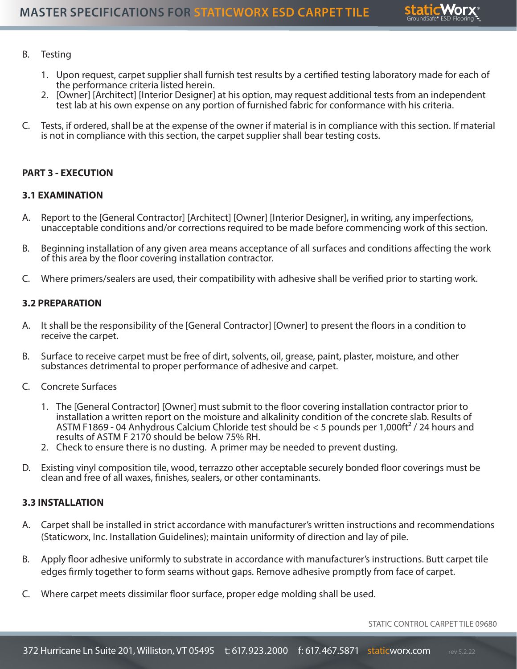

#### B. Testing

- 1. Upon request, carpet supplier shall furnish test results by a certified testing laboratory made for each of the performance criteria listed herein.
- 2. [Owner] [Architect] [Interior Designer] at his option, may request additional tests from an independent test lab at his own expense on any portion of furnished fabric for conformance with his criteria.
- C. Tests, if ordered, shall be at the expense of the owner if material is in compliance with this section. If material is not in compliance with this section, the carpet supplier shall bear testing costs.

#### **PART 3 - EXECUTION**

#### **3.1 EXAMINATION**

- A. Report to the [General Contractor] [Architect] [Owner] [Interior Designer], in writing, any imperfections, unacceptable conditions and/or corrections required to be made before commencing work of this section.
- B. Beginning installation of any given area means acceptance of all surfaces and conditions affecting the work of this area by the floor covering installation contractor.
- C. Where primers/sealers are used, their compatibility with adhesive shall be verified prior to starting work.

#### **3.2 PREPARATION**

- A. It shall be the responsibility of the [General Contractor] [Owner] to present the floors in a condition to receive the carpet.
- B. Surface to receive carpet must be free of dirt, solvents, oil, grease, paint, plaster, moisture, and other substances detrimental to proper performance of adhesive and carpet.
- C. Concrete Surfaces
	- 1. The [General Contractor] [Owner] must submit to the floor covering installation contractor prior to installation a written report on the moisture and alkalinity condition of the concrete slab. Results of ASTM F1869 - 04 Anhydrous Calcium Chloride test should be < 5 pounds per 1,000ft² / 24 hours and results of ASTM F 2170 should be below 75% RH.
	- 2. Check to ensure there is no dusting. A primer may be needed to prevent dusting.
- D. Existing vinyl composition tile, wood, terrazzo other acceptable securely bonded floor coverings must be clean and free of all waxes, finishes, sealers, or other contaminants.

#### **3.3 INSTALLATION**

- A. Carpet shall be installed in strict accordance with manufacturer's written instructions and recommendations (Staticworx, Inc. Installation Guidelines); maintain uniformity of direction and lay of pile.
- B. Apply floor adhesive uniformly to substrate in accordance with manufacturer's instructions. Butt carpet tile edges firmly together to form seams without gaps. Remove adhesive promptly from face of carpet.
- C. Where carpet meets dissimilar floor surface, proper edge molding shall be used.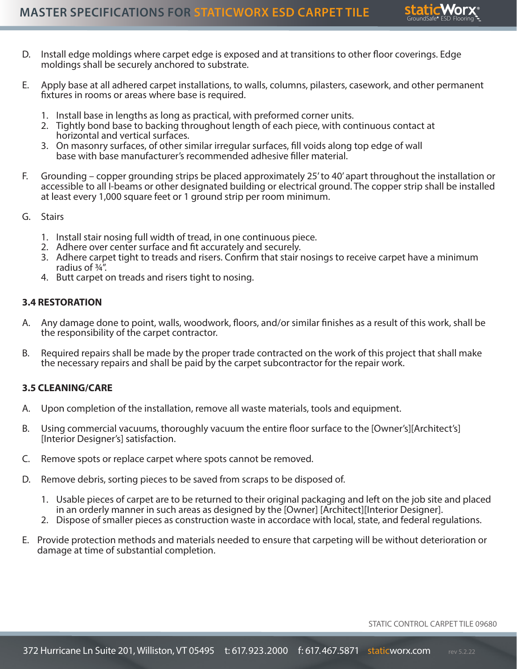

- D. Install edge moldings where carpet edge is exposed and at transitions to other floor coverings. Edge moldings shall be securely anchored to substrate.
- E. Apply base at all adhered carpet installations, to walls, columns, pilasters, casework, and other permanent fixtures in rooms or areas where base is required.
	- 1. Install base in lengths as long as practical, with preformed corner units.
	- 2. Tightly bond base to backing throughout length of each piece, with continuous contact at horizontal and vertical surfaces.
	- 3. On masonry surfaces, of other similar irregular surfaces, fill voids along top edge of wall base with base manufacturer's recommended adhesive filler material.
- F. Grounding copper grounding strips be placed approximately 25' to 40' apart throughout the installation or accessible to all I-beams or other designated building or electrical ground. The copper strip shall be installed at least every 1,000 square feet or 1 ground strip per room minimum.
- G. Stairs
	- 1. Install stair nosing full width of tread, in one continuous piece.
	- 2. Adhere over center surface and fit accurately and securely.
	- 3. Adhere carpet tight to treads and risers. Confirm that stair nosings to receive carpet have a minimum radius of ¾".
	- 4. Butt carpet on treads and risers tight to nosing.

#### **3.4 RESTORATION**

- A. Any damage done to point, walls, woodwork, floors, and/or similar finishes as a result of this work, shall be the responsibility of the carpet contractor.
- B. Required repairs shall be made by the proper trade contracted on the work of this project that shall make the necessary repairs and shall be paid by the carpet subcontractor for the repair work.

#### **3.5 CLEANING/CARE**

- A. Upon completion of the installation, remove all waste materials, tools and equipment.
- B. Using commercial vacuums, thoroughly vacuum the entire floor surface to the [Owner's][Architect's] [Interior Designer's] satisfaction.
- C. Remove spots or replace carpet where spots cannot be removed.
- D. Remove debris, sorting pieces to be saved from scraps to be disposed of.
	- 1. Usable pieces of carpet are to be returned to their original packaging and left on the job site and placed in an orderly manner in such areas as designed by the [Owner] [Architect][Interior Designer].
	- 2. Dispose of smaller pieces as construction waste in accordace with local, state, and federal regulations.
- E. Provide protection methods and materials needed to ensure that carpeting will be without deterioration or damage at time of substantial completion.